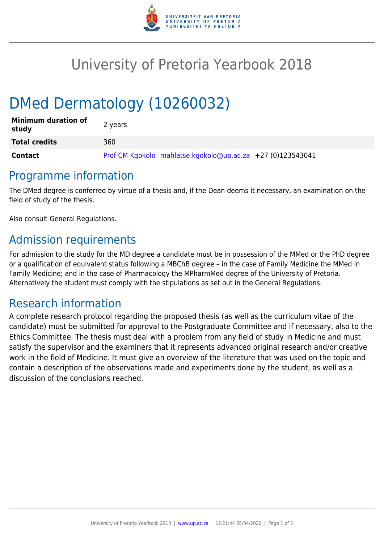

# University of Pretoria Yearbook 2018

# DMed Dermatology (10260032)

| <b>Minimum duration of</b><br>study | 2 years                                                    |
|-------------------------------------|------------------------------------------------------------|
| <b>Total credits</b>                | 360                                                        |
| Contact                             | Prof CM Kgokolo mahlatse.kgokolo@up.ac.za +27 (0)123543041 |

## Programme information

The DMed degree is conferred by virtue of a thesis and, if the Dean deems it necessary, an examination on the field of study of the thesis.

Also consult General Regulations.

# Admission requirements

For admission to the study for the MD degree a candidate must be in possession of the MMed or the PhD degree or a qualification of equivalent status following a MBChB degree – in the case of Family Medicine the MMed in Family Medicine; and in the case of Pharmacology the MPharmMed degree of the University of Pretoria. Alternatively the student must comply with the stipulations as set out in the General Regulations.

## Research information

A complete research protocol regarding the proposed thesis (as well as the curriculum vitae of the candidate) must be submitted for approval to the Postgraduate Committee and if necessary, also to the Ethics Committee. The thesis must deal with a problem from any field of study in Medicine and must satisfy the supervisor and the examiners that it represents advanced original research and/or creative work in the field of Medicine. It must give an overview of the literature that was used on the topic and contain a description of the observations made and experiments done by the student, as well as a discussion of the conclusions reached.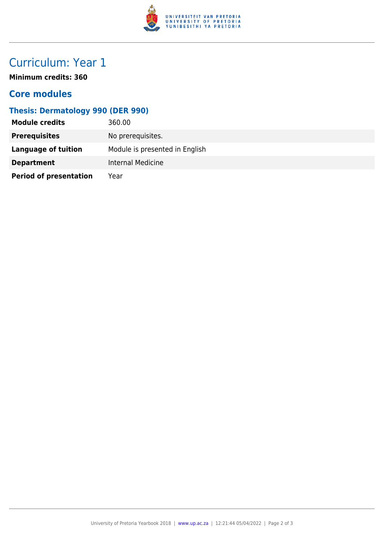

# Curriculum: Year 1

**Minimum credits: 360**

### **Core modules**

### **Thesis: Dermatology 990 (DER 990)**

| <b>Module credits</b>         | 360.00                         |
|-------------------------------|--------------------------------|
| <b>Prerequisites</b>          | No prerequisites.              |
| Language of tuition           | Module is presented in English |
| <b>Department</b>             | Internal Medicine              |
| <b>Period of presentation</b> | Year                           |